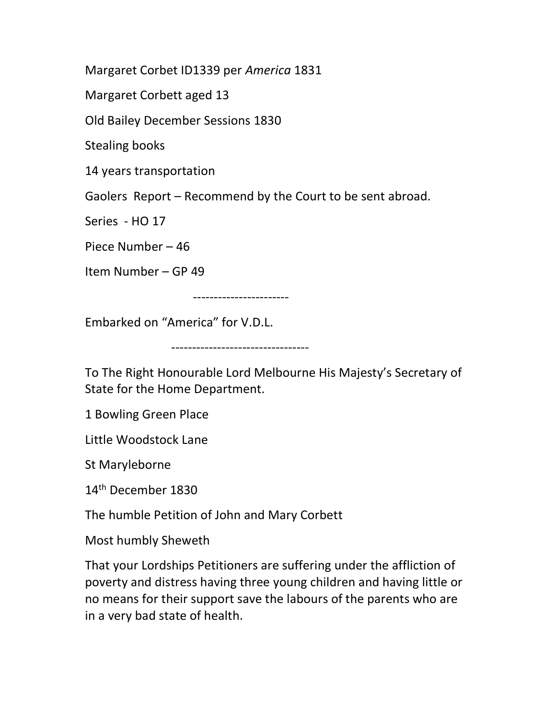Margaret Corbet ID1339 per America 1831

Margaret Corbett aged 13

Old Bailey December Sessions 1830

Stealing books

14 years transportation

Gaolers Report – Recommend by the Court to be sent abroad.

Series - HO 17

Piece Number – 46

Item Number – GP 49

-----------------------

Embarked on "America" for V.D.L.

---------------------------------

To The Right Honourable Lord Melbourne His Majesty's Secretary of State for the Home Department.

1 Bowling Green Place

Little Woodstock Lane

St Maryleborne

14th December 1830

The humble Petition of John and Mary Corbett

Most humbly Sheweth

That your Lordships Petitioners are suffering under the affliction of poverty and distress having three young children and having little or no means for their support save the labours of the parents who are in a very bad state of health.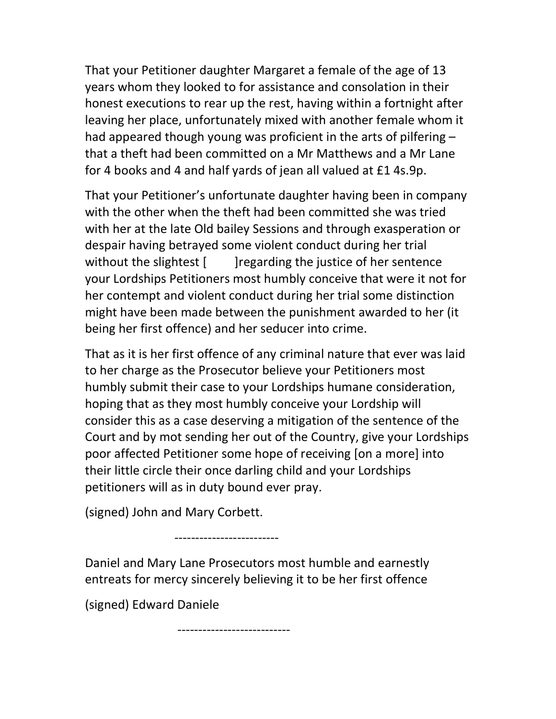That your Petitioner daughter Margaret a female of the age of 13 years whom they looked to for assistance and consolation in their honest executions to rear up the rest, having within a fortnight after leaving her place, unfortunately mixed with another female whom it had appeared though young was proficient in the arts of pilfering – that a theft had been committed on a Mr Matthews and a Mr Lane for 4 books and 4 and half yards of jean all valued at £1 4s.9p.

That your Petitioner's unfortunate daughter having been in company with the other when the theft had been committed she was tried with her at the late Old bailey Sessions and through exasperation or despair having betrayed some violent conduct during her trial without the slightest [ ]regarding the justice of her sentence your Lordships Petitioners most humbly conceive that were it not for her contempt and violent conduct during her trial some distinction might have been made between the punishment awarded to her (it being her first offence) and her seducer into crime.

That as it is her first offence of any criminal nature that ever was laid to her charge as the Prosecutor believe your Petitioners most humbly submit their case to your Lordships humane consideration, hoping that as they most humbly conceive your Lordship will consider this as a case deserving a mitigation of the sentence of the Court and by mot sending her out of the Country, give your Lordships poor affected Petitioner some hope of receiving [on a more] into their little circle their once darling child and your Lordships petitioners will as in duty bound ever pray.

(signed) John and Mary Corbett.

-------------------------

Daniel and Mary Lane Prosecutors most humble and earnestly entreats for mercy sincerely believing it to be her first offence

(signed) Edward Daniele

---------------------------